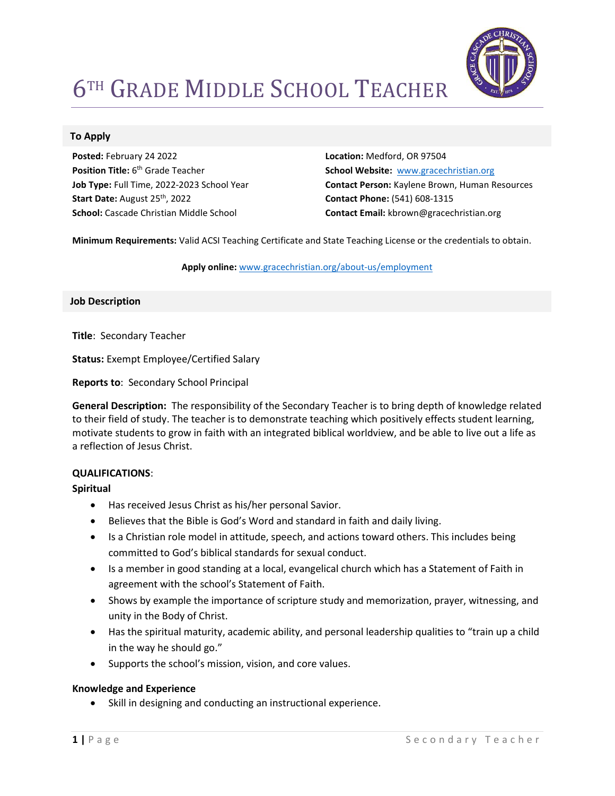

# **6TH GRADE MIDDLE SCHOOL TEACHER**

### To Apply

Posted: February 24 2022 Position Title: 6<sup>th</sup> Grade Teacher Job Type: Full Time, 2022-2023 School Year Start Date: August 25<sup>th</sup>, 2022 School: Cascade Christian Middle School

Location: Medford, OR 97504 School Website: www.gracechristian.org Contact Person: Kaylene Brown, Human Resources Contact Phone: (541) 608-1315 Contact Email: kbrown@gracechristian.org

Minimum Requirements: Valid ACSI Teaching Certificate and State Teaching License or the credentials to obtain.

Apply online: www.gracechristian.org/about-us/employment

#### Job Description

Title: Secondary Teacher

Status: Exempt Employee/Certified Salary

Reports to: Secondary School Principal

General Description: The responsibility of the Secondary Teacher is to bring depth of knowledge related to their field of study. The teacher is to demonstrate teaching which positively effects student learning, motivate students to grow in faith with an integrated biblical worldview, and be able to live out a life as a reflection of Jesus Christ.

#### QUALIFICATIONS:

Spiritual

- Has received Jesus Christ as his/her personal Savior.
- Believes that the Bible is God's Word and standard in faith and daily living.
- Is a Christian role model in attitude, speech, and actions toward others. This includes being committed to God's biblical standards for sexual conduct.
- Is a member in good standing at a local, evangelical church which has a Statement of Faith in agreement with the school's Statement of Faith.
- Shows by example the importance of scripture study and memorization, prayer, witnessing, and unity in the Body of Christ.
- Has the spiritual maturity, academic ability, and personal leadership qualities to "train up a child in the way he should go."
- Supports the school's mission, vision, and core values.

#### Knowledge and Experience

Skill in designing and conducting an instructional experience.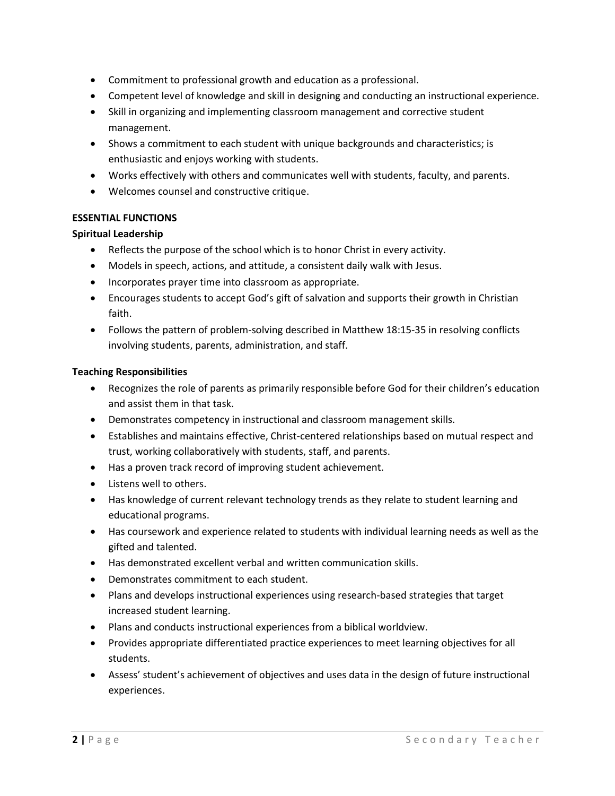- Commitment to professional growth and education as a professional.
- Competent level of knowledge and skill in designing and conducting an instructional experience.
- Skill in organizing and implementing classroom management and corrective student management.
- Shows a commitment to each student with unique backgrounds and characteristics; is enthusiastic and enjoys working with students.
- Works effectively with others and communicates well with students, faculty, and parents.
- Welcomes counsel and constructive critique.

# ESSENTIAL FUNCTIONS

## Spiritual Leadership

- Reflects the purpose of the school which is to honor Christ in every activity.
- Models in speech, actions, and attitude, a consistent daily walk with Jesus.
- Incorporates prayer time into classroom as appropriate.
- Encourages students to accept God's gift of salvation and supports their growth in Christian faith.
- Follows the pattern of problem-solving described in Matthew 18:15-35 in resolving conflicts involving students, parents, administration, and staff.

#### Teaching Responsibilities

- Recognizes the role of parents as primarily responsible before God for their children's education and assist them in that task.
- Demonstrates competency in instructional and classroom management skills.
- Establishes and maintains effective, Christ-centered relationships based on mutual respect and trust, working collaboratively with students, staff, and parents.
- Has a proven track record of improving student achievement.
- Listens well to others.
- Has knowledge of current relevant technology trends as they relate to student learning and educational programs.
- Has coursework and experience related to students with individual learning needs as well as the gifted and talented.
- Has demonstrated excellent verbal and written communication skills.
- Demonstrates commitment to each student.
- Plans and develops instructional experiences using research-based strategies that target increased student learning.
- Plans and conducts instructional experiences from a biblical worldview.
- Provides appropriate differentiated practice experiences to meet learning objectives for all students.
- Assess' student's achievement of objectives and uses data in the design of future instructional experiences.